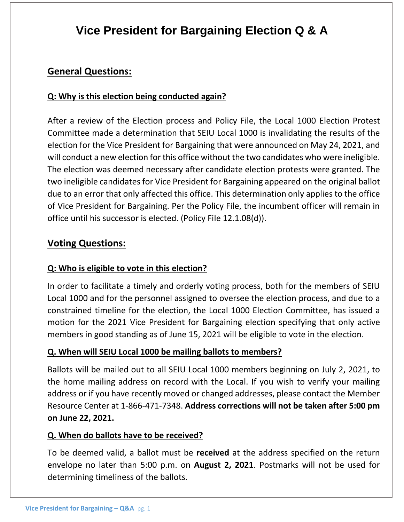# **Vice President for Bargaining Election Q & A**

## **General Questions:**

#### **Q: Why is this election being conducted again?**

After a review of the Election process and Policy File, the Local 1000 Election Protest Committee made a determination that SEIU Local 1000 is invalidating the results of the election for the Vice President for Bargaining that were announced on May 24, 2021, and will conduct a new election for this office without the two candidates who were ineligible. The election was deemed necessary after candidate election protests were granted. The two ineligible candidates for Vice President for Bargaining appeared on the original ballot due to an error that only affected this office. This determination only applies to the office of Vice President for Bargaining. Per the Policy File, the incumbent officer will remain in office until his successor is elected. (Policy File 12.1.08(d)).

## **Voting Questions:**

#### **Q: Who is eligible to vote in this election?**

In order to facilitate a timely and orderly voting process, both for the members of SEIU Local 1000 and for the personnel assigned to oversee the election process, and due to a constrained timeline for the election, the Local 1000 Election Committee, has issued a motion for the 2021 Vice President for Bargaining election specifying that only active members in good standing as of June 15, 2021 will be eligible to vote in the election.

#### **Q. When will SEIU Local 1000 be mailing ballots to members?**

Ballots will be mailed out to all SEIU Local 1000 members beginning on July 2, 2021, to the home mailing address on record with the Local. If you wish to verify your mailing address or if you have recently moved or changed addresses, please contact the Member Resource Center at 1-866-471-7348. **Address corrections will not be taken after 5:00 pm on June 22, 2021.**

#### **Q. When do ballots have to be received?**

To be deemed valid, a ballot must be **received** at the address specified on the return envelope no later than 5:00 p.m. on **August 2, 2021**. Postmarks will not be used for determining timeliness of the ballots.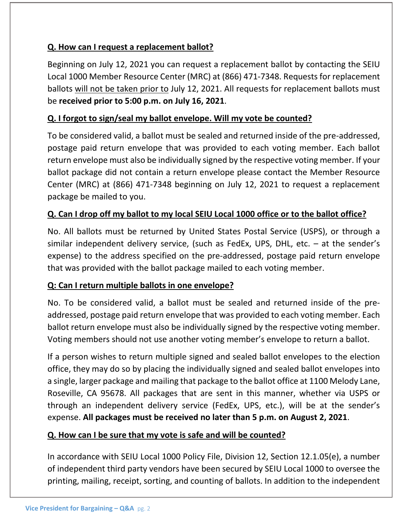## **Q. How can I request a replacement ballot?**

Beginning on July 12, 2021 you can request a replacement ballot by contacting the SEIU Local 1000 Member Resource Center (MRC) at (866) 471-7348. Requests for replacement ballots will not be taken prior to July 12, 2021. All requests for replacement ballots must be **received prior to 5:00 p.m. on July 16, 2021**.

## **Q. I forgot to sign/seal my ballot envelope. Will my vote be counted?**

To be considered valid, a ballot must be sealed and returned inside of the pre-addressed, postage paid return envelope that was provided to each voting member. Each ballot return envelope must also be individually signed by the respective voting member. If your ballot package did not contain a return envelope please contact the Member Resource Center (MRC) at (866) 471-7348 beginning on July 12, 2021 to request a replacement package be mailed to you.

## **Q. Can I drop off my ballot to my local SEIU Local 1000 office or to the ballot office?**

No. All ballots must be returned by United States Postal Service (USPS), or through a similar independent delivery service, (such as FedEx, UPS, DHL, etc. – at the sender's expense) to the address specified on the pre-addressed, postage paid return envelope that was provided with the ballot package mailed to each voting member.

## **Q: Can I return multiple ballots in one envelope?**

No. To be considered valid, a ballot must be sealed and returned inside of the preaddressed, postage paid return envelope that was provided to each voting member. Each ballot return envelope must also be individually signed by the respective voting member. Voting members should not use another voting member's envelope to return a ballot.

If a person wishes to return multiple signed and sealed ballot envelopes to the election office, they may do so by placing the individually signed and sealed ballot envelopes into a single, larger package and mailing that package to the ballot office at 1100 Melody Lane, Roseville, CA 95678. All packages that are sent in this manner, whether via USPS or through an independent delivery service (FedEx, UPS, etc.), will be at the sender's expense. **All packages must be received no later than 5 p.m. on August 2, 2021**.

## **Q. How can I be sure that my vote is safe and will be counted?**

In accordance with SEIU Local 1000 Policy File, Division 12, Section 12.1.05(e), a number of independent third party vendors have been secured by SEIU Local 1000 to oversee the printing, mailing, receipt, sorting, and counting of ballots. In addition to the independent